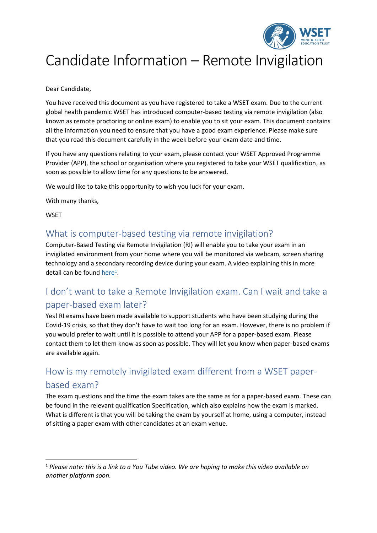

# Candidate Information – Remote Invigilation

Dear Candidate,

You have received this document as you have registered to take a WSET exam. Due to the current global health pandemic WSET has introduced computer-based testing via remote invigilation (also known as remote proctoring or online exam) to enable you to sit your exam. This document contains all the information you need to ensure that you have a good exam experience. Please make sure that you read this document carefully in the week before your exam date and time.

If you have any questions relating to your exam, please contact your WSET Approved Programme Provider (APP), the school or organisation where you registered to take your WSET qualification, as soon as possible to allow time for any questions to be answered.

We would like to take this opportunity to wish you luck for your exam.

With many thanks,

**WSET** 

### What is computer-based testing via remote invigilation?

Computer-Based Testing via Remote Invigilation (RI) will enable you to take your exam in an invigilated environment from your home where you will be monitored via webcam, screen sharing technology and a secondary recording device during your exam. A video explaining this in more detail can be foun[d here](https://www.youtube.com/watch?v=xsi0an49ISM&feature=youtu.be)<sup>1</sup>.

## I don't want to take a Remote Invigilation exam. Can I wait and take a paper-based exam later?

Yes! RI exams have been made available to support students who have been studying during the Covid-19 crisis, so that they don't have to wait too long for an exam. However, there is no problem if you would prefer to wait until it is possible to attend your APP for a paper-based exam. Please contact them to let them know as soon as possible. They will let you know when paper-based exams are available again.

## How is my remotely invigilated exam different from a WSET paperbased exam?

The exam questions and the time the exam takes are the same as for a paper-based exam. These can be found in the relevant qualification Specification, which also explains how the exam is marked. What is different is that you will be taking the exam by yourself at home, using a computer, instead of sitting a paper exam with other candidates at an exam venue.

<sup>1</sup> *Please note: this is a link to a You Tube video. We are hoping to make this video available on another platform soon.*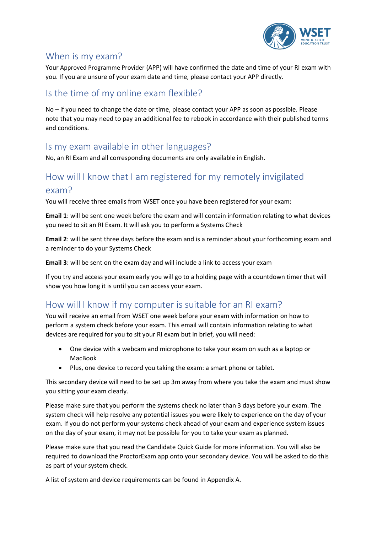

### When is my exam?

Your Approved Programme Provider (APP) will have confirmed the date and time of your RI exam with you. If you are unsure of your exam date and time, please contact your APP directly.

## Is the time of my online exam flexible?

No – if you need to change the date or time, please contact your APP as soon as possible. Please note that you may need to pay an additional fee to rebook in accordance with their published terms and conditions.

## Is my exam available in other languages?

No, an RI Exam and all corresponding documents are only available in English.

### How will I know that I am registered for my remotely invigilated

#### exam?

You will receive three emails from WSET once you have been registered for your exam:

**Email 1**: will be sent one week before the exam and will contain information relating to what devices you need to sit an RI Exam. It will ask you to perform a Systems Check

**Email 2**: will be sent three days before the exam and is a reminder about your forthcoming exam and a reminder to do your Systems Check

**Email 3**: will be sent on the exam day and will include a link to access your exam

If you try and access your exam early you will go to a holding page with a countdown timer that will show you how long it is until you can access your exam.

## How will I know if my computer is suitable for an RI exam?

You will receive an email from WSET one week before your exam with information on how to perform a system check before your exam. This email will contain information relating to what devices are required for you to sit your RI exam but in brief, you will need:

- One device with a webcam and microphone to take your exam on such as a laptop or MacBook
- Plus, one device to record you taking the exam: a smart phone or tablet.

This secondary device will need to be set up 3m away from where you take the exam and must show you sitting your exam clearly.

Please make sure that you perform the systems check no later than 3 days before your exam. The system check will help resolve any potential issues you were likely to experience on the day of your exam. If you do not perform your systems check ahead of your exam and experience system issues on the day of your exam, it may not be possible for you to take your exam as planned.

Please make sure that you read the Candidate Quick Guide for more information. You will also be required to download the ProctorExam app onto your secondary device. You will be asked to do this as part of your system check.

A list of system and device requirements can be found in Appendix A.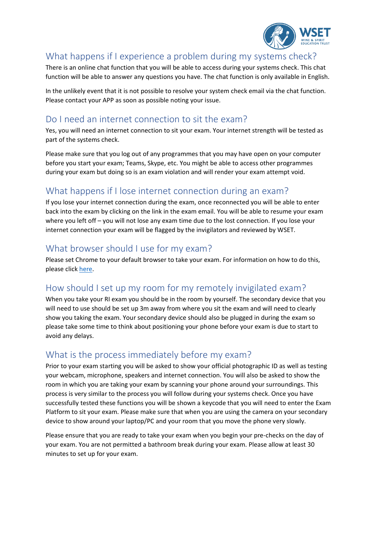

#### What happens if I experience a problem during my systems check?

There is an online chat function that you will be able to access during your systems check. This chat function will be able to answer any questions you have. The chat function is only available in English.

In the unlikely event that it is not possible to resolve your system check email via the chat function. Please contact your APP as soon as possible noting your issue.

## Do I need an internet connection to sit the exam?

Yes, you will need an internet connection to sit your exam. Your internet strength will be tested as part of the systems check.

Please make sure that you log out of any programmes that you may have open on your computer before you start your exam; Teams, Skype, etc. You might be able to access other programmes during your exam but doing so is an exam violation and will render your exam attempt void.

## What happens if I lose internet connection during an exam?

If you lose your internet connection during the exam, once reconnected you will be able to enter back into the exam by clicking on the link in the exam email. You will be able to resume your exam where you left off – you will not lose any exam time due to the lost connection. If you lose your internet connection your exam will be flagged by the invigilators and reviewed by WSET.

### What browser should I use for my exam?

Please set Chrome to your default browser to take your exam. For information on how to do this, please click [here.](https://support.google.com/chrome/answer/95417?co=GENIE.Platform%3DAndroid&hl=en)

## How should I set up my room for my remotely invigilated exam?

When you take your RI exam you should be in the room by yourself. The secondary device that you will need to use should be set up 3m away from where you sit the exam and will need to clearly show you taking the exam. Your secondary device should also be plugged in during the exam so please take some time to think about positioning your phone before your exam is due to start to avoid any delays.

### What is the process immediately before my exam?

Prior to your exam starting you will be asked to show your official photographic ID as well as testing your webcam, microphone, speakers and internet connection. You will also be asked to show the room in which you are taking your exam by scanning your phone around your surroundings. This process is very similar to the process you will follow during your systems check. Once you have successfully tested these functions you will be shown a keycode that you will need to enter the Exam Platform to sit your exam. Please make sure that when you are using the camera on your secondary device to show around your laptop/PC and your room that you move the phone very slowly.

Please ensure that you are ready to take your exam when you begin your pre-checks on the day of your exam. You are not permitted a bathroom break during your exam. Please allow at least 30 minutes to set up for your exam.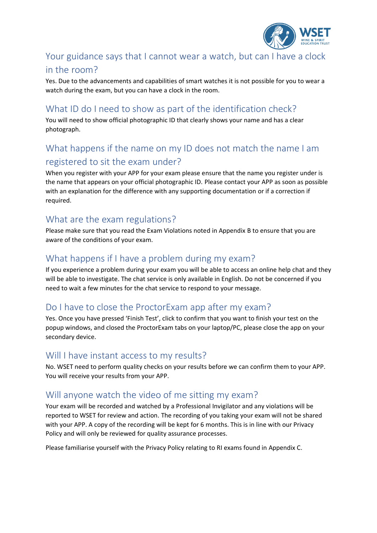

## Your guidance says that I cannot wear a watch, but can I have a clock in the room?

Yes. Due to the advancements and capabilities of smart watches it is not possible for you to wear a watch during the exam, but you can have a clock in the room.

## What ID do I need to show as part of the identification check?

You will need to show official photographic ID that clearly shows your name and has a clear photograph.

## What happens if the name on my ID does not match the name I am registered to sit the exam under?

When you register with your APP for your exam please ensure that the name you register under is the name that appears on your official photographic ID. Please contact your APP as soon as possible with an explanation for the difference with any supporting documentation or if a correction if required.

## What are the exam regulations?

Please make sure that you read the Exam Violations noted in Appendix B to ensure that you are aware of the conditions of your exam.

## What happens if I have a problem during my exam?

If you experience a problem during your exam you will be able to access an online help chat and they will be able to investigate. The chat service is only available in English. Do not be concerned if you need to wait a few minutes for the chat service to respond to your message.

## Do I have to close the ProctorExam app after my exam?

Yes. Once you have pressed 'Finish Test', click to confirm that you want to finish your test on the popup windows, and closed the ProctorExam tabs on your laptop/PC, please close the app on your secondary device.

### Will I have instant access to my results?

No. WSET need to perform quality checks on your results before we can confirm them to your APP. You will receive your results from your APP.

## Will anyone watch the video of me sitting my exam?

Your exam will be recorded and watched by a Professional Invigilator and any violations will be reported to WSET for review and action. The recording of you taking your exam will not be shared with your APP. A copy of the recording will be kept for 6 months. This is in line with our Privacy Policy and will only be reviewed for quality assurance processes.

Please familiarise yourself with the Privacy Policy relating to RI exams found in Appendix C.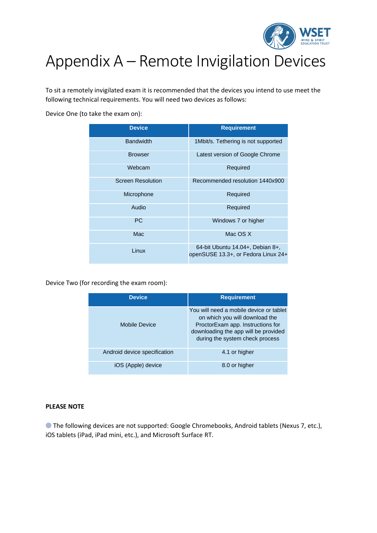

# Appendix A – Remote Invigilation Devices

To sit a remotely invigilated exam it is recommended that the devices you intend to use meet the following technical requirements. You will need two devices as follows:

Device One (to take the exam on):

| <b>Device</b>            | <b>Requirement</b>                                                      |
|--------------------------|-------------------------------------------------------------------------|
| <b>Bandwidth</b>         | 1Mbit/s. Tethering is not supported                                     |
| <b>Browser</b>           | Latest version of Google Chrome                                         |
| Webcam                   | Required                                                                |
| <b>Screen Resolution</b> | Recommended resolution 1440x900                                         |
| Microphone               | Required                                                                |
| Audio                    | Required                                                                |
| <b>PC</b>                | Windows 7 or higher                                                     |
| Mac                      | Mac OS X                                                                |
| Linux                    | 64-bit Ubuntu 14.04+, Debian 8+,<br>openSUSE 13.3+, or Fedora Linux 24+ |

Device Two (for recording the exam room):

| <b>Device</b>                | <b>Requirement</b>                                                                                                                                                                        |
|------------------------------|-------------------------------------------------------------------------------------------------------------------------------------------------------------------------------------------|
| Mobile Device                | You will need a mobile device or tablet<br>on which you will download the<br>ProctorExam app. Instructions for<br>downloading the app will be provided<br>during the system check process |
| Android device specification | 4.1 or higher                                                                                                                                                                             |
| iOS (Apple) device           | 8.0 or higher                                                                                                                                                                             |

#### **PLEASE NOTE**

⬤ The following devices are not supported: Google Chromebooks, Android tablets (Nexus 7, etc.), iOS tablets (iPad, iPad mini, etc.), and Microsoft Surface RT.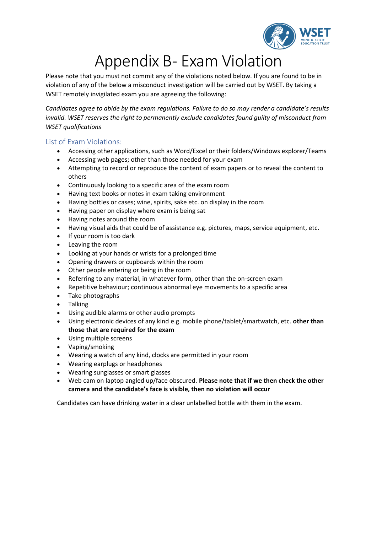

# Appendix B- Exam Violation

Please note that you must not commit any of the violations noted below. If you are found to be in violation of any of the below a misconduct investigation will be carried out by WSET. By taking a WSET remotely invigilated exam you are agreeing the following:

*Candidates agree to abide by the exam regulations. Failure to do so may render a candidate's results invalid. WSET reserves the right to permanently exclude candidates found guilty of misconduct from WSET qualifications*

#### List of Exam Violations:

- Accessing other applications, such as Word/Excel or their folders/Windows explorer/Teams
- Accessing web pages; other than those needed for your exam
- Attempting to record or reproduce the content of exam papers or to reveal the content to others
- Continuously looking to a specific area of the exam room
- Having text books or notes in exam taking environment
- Having bottles or cases; wine, spirits, sake etc. on display in the room
- Having paper on display where exam is being sat
- Having notes around the room
- Having visual aids that could be of assistance e.g. pictures, maps, service equipment, etc.
- If your room is too dark
- Leaving the room
- Looking at your hands or wrists for a prolonged time
- Opening drawers or cupboards within the room
- Other people entering or being in the room
- Referring to any material, in whatever form, other than the on-screen exam
- Repetitive behaviour; continuous abnormal eye movements to a specific area
- Take photographs
- Talking
- Using audible alarms or other audio prompts
- Using electronic devices of any kind e.g. mobile phone/tablet/smartwatch, etc. **other than those that are required for the exam**
- Using multiple screens
- Vaping/smoking
- Wearing a watch of any kind, clocks are permitted in your room
- Wearing earplugs or headphones
- Wearing sunglasses or smart glasses
- Web cam on laptop angled up/face obscured. **Please note that if we then check the other camera and the candidate's face is visible, then no violation will occur**

Candidates can have drinking water in a clear unlabelled bottle with them in the exam.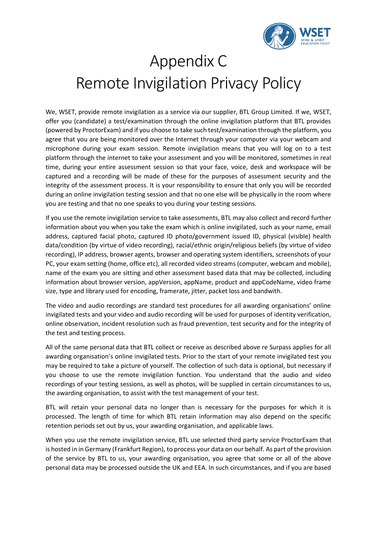

# Appendix C Remote Invigilation Privacy Policy

We, WSET, provide remote invigilation as a service via our supplier, BTL Group Limited. If we, WSET, offer you (candidate) a test/examination through the online invigilation platform that BTL provides (powered by ProctorExam) and if you choose to take such test/examination through the platform, you agree that you are being monitored over the Internet through your computer via your webcam and microphone during your exam session. Remote invigilation means that you will log on to a test platform through the internet to take your assessment and you will be monitored, sometimes in real time, during your entire assessment session so that your face, voice, desk and workspace will be captured and a recording will be made of these for the purposes of assessment security and the integrity of the assessment process. It is your responsibility to ensure that only you will be recorded during an online invigilation testing session and that no one else will be physically in the room where you are testing and that no one speaks to you during your testing sessions.

If you use the remote invigilation service to take assessments, BTL may also collect and record further information about you when you take the exam which is online invigilated, such as your name, email address, captured facial photo, captured ID photo/government issued ID, physical (visible) health data/condition (by virtue of video recording), racial/ethnic origin/religious beliefs (by virtue of video recording), IP address, browser agents, browser and operating system identifiers, screenshots of your PC, your exam setting (home, office etc), all recorded video streams (computer, webcam and mobile), name of the exam you are sitting and other assessment based data that may be collected, including information about browser version, appVersion, appName, product and appCodeName, video frame size, type and library used for encoding, framerate, jitter, packet loss and bandwith.

The video and audio recordings are standard test procedures for all awarding organisations' online invigilated tests and your video and audio recording will be used for purposes of identity verification, online observation, incident resolution such as fraud prevention, test security and for the integrity of the test and testing process.

All of the same personal data that BTL collect or receive as described above re Surpass applies for all awarding organisation's online invigilated tests. Prior to the start of your remote invigilated test you may be required to take a picture of yourself. The collection of such data is optional, but necessary if you choose to use the remote invigilation function. You understand that the audio and video recordings of your testing sessions, as well as photos, will be supplied in certain circumstances to us, the awarding organisation, to assist with the test management of your test.

BTL will retain your personal data no longer than is necessary for the purposes for which it is processed. The length of time for which BTL retain information may also depend on the specific retention periods set out by us, your awarding organisation, and applicable laws.

When you use the remote invigilation service, BTL use selected third party service ProctorExam that is hosted in in Germany (Frankfurt Region), to process your data on our behalf. As part of the provision of the service by BTL to us, your awarding organisation, you agree that some or all of the above personal data may be processed outside the UK and EEA. In such circumstances, and if you are based